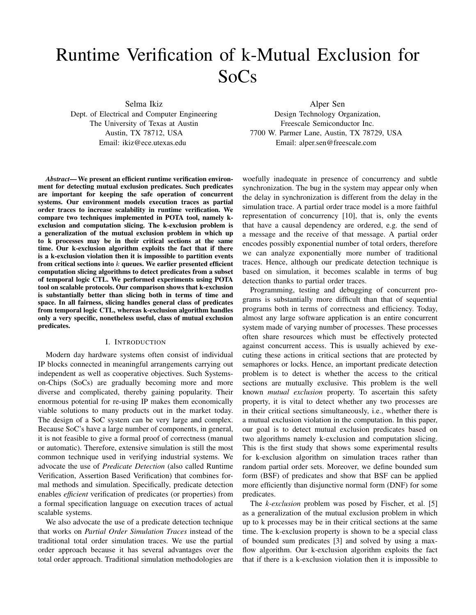# Runtime Verification of k-Mutual Exclusion for SoCs

Selma Ikiz

Dept. of Electrical and Computer Engineering The University of Texas at Austin Austin, TX 78712, USA Email: ikiz@ece.utexas.edu

*Abstract*— We present an efficient runtime verification environment for detecting mutual exclusion predicates. Such predicates are important for keeping the safe operation of concurrent systems. Our environment models execution traces as partial order traces to increase scalability in runtime verification. We compare two techniques implemented in POTA tool, namely kexclusion and computation slicing. The k-exclusion problem is a generalization of the mutual exclusion problem in which up to k processes may be in their critical sections at the same time. Our k-exclusion algorithm exploits the fact that if there is a k-exclusion violation then it is impossible to partition events from critical sections into  $k$  queues. We earlier presented efficient computation slicing algorithms to detect predicates from a subset of temporal logic CTL. We performed experiments using POTA tool on scalable protocols. Our comparison shows that k-exclusion is substantially better than slicing both in terms of time and space. In all fairness, slicing handles general class of predicates from temporal logic CTL, whereas k-exclusion algorithm handles only a very specific, nonetheless useful, class of mutual exclusion predicates.

## I. INTRODUCTION

Modern day hardware systems often consist of individual IP blocks connected in meaningful arrangements carrying out independent as well as cooperative objectives. Such Systemson-Chips (SoCs) are gradually becoming more and more diverse and complicated, thereby gaining popularity. Their enormous potential for re-using IP makes them economically viable solutions to many products out in the market today. The design of a SoC system can be very large and complex. Because SoC's have a large number of components, in general, it is not feasible to give a formal proof of correctness (manual or automatic). Therefore, extensive simulation is still the most common technique used in verifying industrial systems. We advocate the use of *Predicate Detection* (also called Runtime Verification, Assertion Based Verification) that combines formal methods and simulation. Specifically, predicate detection enables *efficient* verification of predicates (or properties) from a formal specification language on execution traces of actual scalable systems.

We also advocate the use of a predicate detection technique that works on *Partial Order Simulation Traces* instead of the traditional total order simulation traces. We use the partial order approach because it has several advantages over the total order approach. Traditional simulation methodologies are Alper Sen

Design Technology Organization, Freescale Semiconductor Inc. 7700 W. Parmer Lane, Austin, TX 78729, USA Email: alper.sen@freescale.com

woefully inadequate in presence of concurrency and subtle synchronization. The bug in the system may appear only when the delay in synchronization is different from the delay in the simulation trace. A partial order trace model is a more faithful representation of concurrency [10], that is, only the events that have a causal dependency are ordered, e.g. the send of a message and the receive of that message. A partial order encodes possibly exponential number of total orders, therefore we can analyze exponentially more number of traditional traces. Hence, although our predicate detection technique is based on simulation, it becomes scalable in terms of bug detection thanks to partial order traces.

Programming, testing and debugging of concurrent programs is substantially more difficult than that of sequential programs both in terms of correctness and efficiency. Today, almost any large software application is an entire concurrent system made of varying number of processes. These processes often share resources which must be effectively protected against concurrent access. This is usually achieved by executing these actions in critical sections that are protected by semaphores or locks. Hence, an important predicate detection problem is to detect is whether the access to the critical sections are mutually exclusive. This problem is the well known *mutual exclusion* property. To ascertain this safety property, it is vital to detect whether any two processes are in their critical sections simultaneously, i.e., whether there is a mutual exclusion violation in the computation. In this paper, our goal is to detect mutual exclusion predicates based on two algorithms namely k-exclusion and computation slicing. This is the first study that shows some experimental results for k-exclusion algorithm on simulation traces rather than random partial order sets. Moreover, we define bounded sum form (BSF) of predicates and show that BSF can be applied more efficiently than disjunctive normal form (DNF) for some predicates.

The *k-exclusion* problem was posed by Fischer, et al. [5] as a generalization of the mutual exclusion problem in which up to k processes may be in their critical sections at the same time. The k-exclusion property is shown to be a special class of bounded sum predicates [3] and solved by using a maxflow algorithm. Our k-exclusion algorithm exploits the fact that if there is a k-exclusion violation then it is impossible to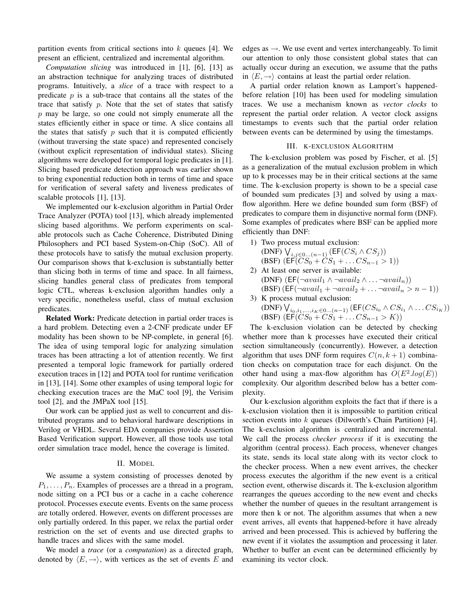partition events from critical sections into  $k$  queues [4]. We present an efficient, centralized and incremental algorithm.

*Computation slicing* was introduced in [1], [6], [13] as an abstraction technique for analyzing traces of distributed programs. Intuitively, a *slice* of a trace with respect to a predicate  $p$  is a sub-trace that contains all the states of the trace that satisfy  $p$ . Note that the set of states that satisfy  $p$  may be large, so one could not simply enumerate all the states efficiently either in space or time. A slice contains all the states that satisfy  $p$  such that it is computed efficiently (without traversing the state space) and represented concisely (without explicit representation of individual states). Slicing algorithms were developed for temporal logic predicates in [1]. Slicing based predicate detection approach was earlier shown to bring exponential reduction both in terms of time and space for verification of several safety and liveness predicates of scalable protocols [1], [13].

We implemented our k-exclusion algorithm in Partial Order Trace Analyzer (POTA) tool [13], which already implemented slicing based algorithms. We perform experiments on scalable protocols such as Cache Coherence, Distributed Dining Philosophers and PCI based System-on-Chip (SoC). All of these protocols have to satisfy the mutual exclusion property. Our comparison shows that k-exclusion is substantially better than slicing both in terms of time and space. In all fairness, slicing handles general class of predicates from temporal logic CTL, whereas k-exclusion algorithm handles only a very specific, nonetheless useful, class of mutual exclusion predicates.

Related Work: Predicate detection in partial order traces is a hard problem. Detecting even a 2-CNF predicate under EF modality has been shown to be NP-complete, in general [6]. The idea of using temporal logic for analyzing simulation traces has been attracting a lot of attention recently. We first presented a temporal logic framework for partially ordered execution traces in [12] and POTA tool for runtime verification in [13], [14]. Some other examples of using temporal logic for checking execution traces are the MaC tool [9], the Verisim tool [2], and the JMPaX tool [15].

Our work can be applied just as well to concurrent and distributed programs and to behavioral hardware descriptions in Verilog or VHDL. Several EDA companies provide Assertion Based Verification support. However, all those tools use total order simulation trace model, hence the coverage is limited.

#### II. MODEL

We assume a system consisting of processes denoted by  $P_1, \ldots, P_n$ . Examples of processes are a thread in a program, node sitting on a PCI bus or a cache in a cache coherence protocol. Processes execute events. Events on the same process are totally ordered. However, events on different processes are only partially ordered. In this paper, we relax the partial order restriction on the set of events and use directed graphs to handle traces and slices with the same model.

We model a *trace* (or a *computation*) as a directed graph, denoted by  $\langle E,\rightarrow\rangle$ , with vertices as the set of events E and edges as  $\rightarrow$ . We use event and vertex interchangeably. To limit our attention to only those consistent global states that can actually occur during an execution, we assume that the paths in  $\langle E,\rightarrow\rangle$  contains at least the partial order relation.

A partial order relation known as Lamport's happenedbefore relation [10] has been used for modeling simulation traces. We use a mechanism known as *vector clocks* to represent the partial order relation. A vector clock assigns timestamps to events such that the partial order relation between events can be determined by using the timestamps.

## III. K-EXCLUSION ALGORITHM

The k-exclusion problem was posed by Fischer, et al. [5] as a generalization of the mutual exclusion problem in which up to k processes may be in their critical sections at the same time. The k-exclusion property is shown to be a special case of bounded sum predicates [3] and solved by using a maxflow algorithm. Here we define bounded sum form (BSF) of predicates to compare them in disjunctive normal form (DNF). Some examples of predicates where BSF can be applied more efficiently than DNF:

- 1) Two process mutual exclusion: (DNF)  $\bigvee_{i,j\in 0... (n-1)} (\mathsf{EF}(CS_i \wedge CS_j))$ (BSF)  $(EF(CS_0 + CS_1 + ... CS_{n-1} > 1))$
- 2) At least one server is available: (DNF)  $(EF(\neg avail_1 \wedge \neg avail_2 \wedge \dots \neg avail_n))$ (BSF)  $(EF(\neg avail_1 + \neg avail_2 + \dots \neg avail_n > n-1))$
- 3) K process mutual exclusion: (DNF)  $\bigvee_{i_0,i_1,...,i_K\in 0...(n-1)} (\mathsf{EF}(CS_{i_0}\wedge CS_{i_1}\wedge...CS_{i_K}))$ (BSF)  $(EF(CS_0 + CS_1 + ... CS_{n-1} > K))$

The k-exclusion violation can be detected by checking whether more than k processes have executed their critical section simultaneously (concurrently). However, a detection algorithm that uses DNF form requires  $C(n, k + 1)$  combination checks on computation trace for each disjunct. On the other hand using a max-flow algorithm has  $O(E^2.log(E))$ complexity. Our algorithm described below has a better complexity.

Our k-exclusion algorithm exploits the fact that if there is a k-exclusion violation then it is impossible to partition critical section events into  $k$  queues (Dilworth's Chain Partition) [4]. The k-exclusion algorithm is centralized and incremental. We call the process *checker process* if it is executing the algorithm (central process). Each process, whenever changes its state, sends its local state along with its vector clock to the checker process. When a new event arrives, the checker process executes the algorithm if the new event is a critical section event, otherwise discards it. The k-exclusion algorithm rearranges the queues according to the new event and checks whether the number of queues in the resultant arrangement is more then k or not. The algorithm assumes that when a new event arrives, all events that happened-before it have already arrived and been processed. This is achieved by buffering the new event if it violates the assumption and processing it later. Whether to buffer an event can be determined efficiently by examining its vector clock.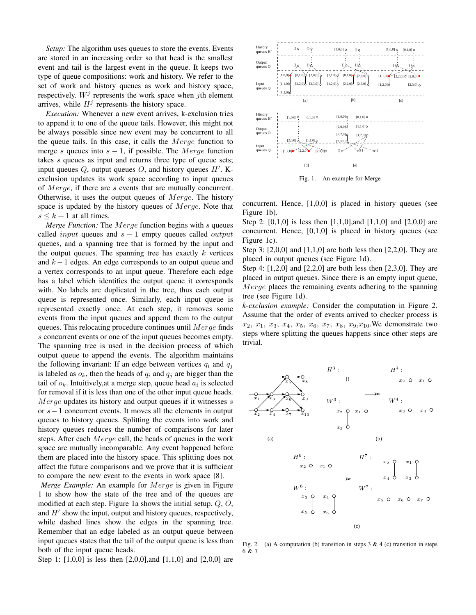*Setup*: The algorithm uses queues to store the events. Events are stored in an increasing order so that head is the smallest event and tail is the largest event in the queue. It keeps two type of queue compositions: work and history. We refer to the set of work and history queues as work and history space, respectively.  $W<sup>j</sup>$  represents the work space when jth element arrives, while  $H^j$  represents the history space.

*Execution:* Whenever a new event arrives, k-exclusion tries to append it to one of the queue tails. However, this might not be always possible since new event may be concurrent to all the queue tails. In this case, it calls the  $Merge$  function to merge s queues into  $s - 1$ , if possible. The Merge function takes s queues as input and returns three type of queue sets; input queues  $Q$ , output queues  $O$ , and history queues  $H'$ . Kexclusion updates its work space according to input queues of *Merge*, if there are s events that are mutually concurrent. Otherwise, it uses the output queues of  $Merge$ . The history space is updated by the history queues of Merge. Note that  $s \leq k+1$  at all times.

*Merge Function:* The *Merge* function begins with s queues called *input* queues and  $s - 1$  empty queues called *output* queues, and a spanning tree that is formed by the input and the output queues. The spanning tree has exactly  $k$  vertices and  $k-1$  edges. An edge corresponds to an output queue and a vertex corresponds to an input queue. Therefore each edge has a label which identifies the output queue it corresponds with. No labels are duplicated in the tree, thus each output queue is represented once. Similarly, each input queue is represented exactly once. At each step, it removes some events from the input queues and append them to the output queues. This relocating procedure continues until  $Merge$  finds s concurrent events or one of the input queues becomes empty. The spanning tree is used in the decision process of which output queue to append the events. The algorithm maintains the following invariant: If an edge between vertices  $q_i$  and  $q_j$ is labeled as  $o_k$ , then the heads of  $q_i$  and  $q_j$  are bigger than the tail of  $o_k$ . Intuitively, at a merge step, queue head  $a_i$  is selected for removal if it is less than one of the other input queue heads. Merge updates its history and output queues if it witnesses  $s$ or s−1 concurrent events. It moves all the elements in output queues to history queues. Splitting the events into work and history queues reduces the number of comparisons for later steps. After each *Merge* call, the heads of queues in the work space are mutually incomparable. Any event happened before them are placed into the history space. This splitting does not affect the future comparisons and we prove that it is sufficient to compare the new event to the events in work space [8].

*Merge Example:* An example for Merge is given in Figure 1 to show how the state of the tree and of the queues are modified at each step. Figure 1a shows the initial setup. Q, O, and  $H'$  show the input, output and history queues, respectively, while dashed lines show the edges in the spanning tree. Remember that an edge labeled as an output queue between input queues states that the tail of the output queue is less than both of the input queue heads.

Step 1: [1,0,0] is less then [2,0,0],and [1,1,0] and [2,0,0] are



Fig. 1. An example for Merge

concurrent. Hence, [1,0,0] is placed in history queues (see Figure 1b).

Step 2:  $[0,1,0]$  is less then  $[1,1,0]$ , and  $[1,1,0]$  and  $[2,0,0]$  are concurrent. Hence, [0,1,0] is placed in history queues (see Figure 1c).

Step 3:  $[2,0,0]$  and  $[1,1,0]$  are both less then  $[2,2,0]$ . They are placed in output queues (see Figure 1d).

Step 4: [1,2,0] and [2,2,0] are both less then [2,3,0]. They are placed in output queues. Since there is an empty input queue, Merge places the remaining events adhering to the spanning tree (see Figure 1d).

*k-exclusion example:* Consider the computation in Figure 2. Assume that the order of events arrived to checker process is  $x_2, x_1, x_3, x_4, x_5, x_6, x_7, x_8, x_9, x_{10}$ . We demonstrate two steps where splitting the queues happens since other steps are trivial.



Fig. 2. (a) A computation (b) transition in steps  $3 & 4$  (c) transition in steps 6 & 7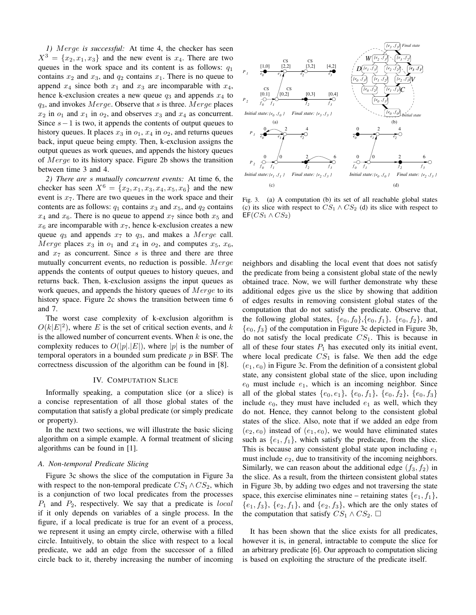*1)* Merge *is successful:* At time 4, the checker has seen  $X^3 = \{x_2, x_1, x_3\}$  and the new event is  $x_4$ . There are two queues in the work space and its content is as follows:  $q_1$ contains  $x_2$  and  $x_3$ , and  $q_2$  contains  $x_1$ . There is no queue to append  $x_4$  since both  $x_1$  and  $x_3$  are incomparable with  $x_4$ , hence k-exclusion creates a new queue  $q_3$  and appends  $x_4$  to  $q_3$ , and invokes  $Merge$ . Observe that s is three. Merge places  $x_2$  in  $o_1$  and  $x_1$  in  $o_2$ , and observes  $x_3$  and  $x_4$  as concurrent. Since  $s-1$  is two, it appends the contents of output queues to history queues. It places  $x_3$  in  $o_1$ ,  $x_4$  in  $o_2$ , and returns queues back, input queue being empty. Then, k-exclusion assigns the output queues as work queues, and appends the history queues of Merge to its history space. Figure 2b shows the transition between time 3 and 4.

*2) There are* s *mutually concurrent events:* At time 6, the checker has seen  $X^6 = \{x_2, x_1, x_3, x_4, x_5, x_6\}$  and the new event is  $x_7$ . There are two queues in the work space and their contents are as follows:  $q_1$  contains  $x_3$  and  $x_5$ , and  $q_2$  contains  $x_4$  and  $x_6$ . There is no queue to append  $x_7$  since both  $x_5$  and  $x_6$  are incomparable with  $x_7$ , hence k-exclusion creates a new queue  $q_3$  and appends  $x_7$  to  $q_3$ , and makes a Merge call. Merge places  $x_3$  in  $o_1$  and  $x_4$  in  $o_2$ , and computes  $x_5$ ,  $x_6$ , and  $x_7$  as concurrent. Since s is three and there are three mutually concurrent events, no reduction is possible. Merge appends the contents of output queues to history queues, and returns back. Then, k-exclusion assigns the input queues as work queues, and appends the history queues of Merge to its history space. Figure 2c shows the transition between time 6 and 7.

The worst case complexity of k-exclusion algorithm is  $O(k|E|^2)$ , where E is the set of critical section events, and k is the allowed number of concurrent events. When  $k$  is one, the complexity reduces to  $O(|p|, |E|)$ , where |p| is the number of temporal operators in a bounded sum predicate  $p$  in BSF. The correctness discussion of the algorithm can be found in [8].

#### IV. COMPUTATION SLICE

Informally speaking, a computation slice (or a slice) is a concise representation of all those global states of the computation that satisfy a global predicate (or simply predicate or property).

In the next two sections, we will illustrate the basic slicing algorithm on a simple example. A formal treatment of slicing algorithms can be found in [1].

#### *A. Non-temporal Predicate Slicing*

Figure 3c shows the slice of the computation in Figure 3a with respect to the non-temporal predicate  $CS_1 \wedge CS_2$ , which is a conjunction of two local predicates from the processes  $P_1$  and  $P_2$ , respectively. We say that a predicate is *local* if it only depends on variables of a single process. In the figure, if a local predicate is true for an event of a process, we represent it using an empty circle, otherwise with a filled circle. Intuitively, to obtain the slice with respect to a local predicate, we add an edge from the successor of a filled circle back to it, thereby increasing the number of incoming



Fig. 3. (a) A computation (b) its set of all reachable global states (c) its slice with respect to  $CS_1 \wedge CS_2$  (d) its slice with respect to  $EF(CS_1 \wedge CS_2)$ 

neighbors and disabling the local event that does not satisfy the predicate from being a consistent global state of the newly obtained trace. Now, we will further demonstrate why these additional edges give us the slice by showing that addition of edges results in removing consistent global states of the computation that do not satisfy the predicate. Observe that, the following global states,  $\{e_0, f_0\}$ ,  $\{e_0, f_1\}$ ,  $\{e_0, f_2\}$ , and  ${e_0, f_3}$  of the computation in Figure 3c depicted in Figure 3b, do not satisfy the local predicate  $CS<sub>1</sub>$ . This is because in all of these four states  $P_1$  has executed only its initial event, where local predicate  $CS<sub>1</sub>$  is false. We then add the edge  $(e_1, e_0)$  in Figure 3c. From the definition of a consistent global state, any consistent global state of the slice, upon including  $e_0$  must include  $e_1$ , which is an incoming neighbor. Since all of the global states  $\{e_0, e_1\}$ ,  $\{e_0, f_1\}$ ,  $\{e_0, f_2\}$ ,  $\{e_0, f_3\}$ include  $e_0$ , they must have included  $e_1$  as well, which they do not. Hence, they cannot belong to the consistent global states of the slice. Also, note that if we added an edge from  $(e_2, e_0)$  instead of  $(e_1, e_0)$ , we would have eliminated states such as  $\{e_1, f_1\}$ , which satisfy the predicate, from the slice. This is because any consistent global state upon including  $e_1$ must include  $e_2$ , due to transitivity of the incoming neighbors. Similarly, we can reason about the additional edge  $(f_3, f_2)$  in the slice. As a result, from the thirteen consistent global states in Figure 3b, by adding two edges and not traversing the state space, this exercise eliminates nine – retaining states  $\{e_1, f_1\}$ ,  ${e_1, f_3}, {e_2, f_1},$  and  ${e_2, f_3},$  which are the only states of the computation that satisfy  $CS_1 \wedge CS_2$ .  $\square$ 

It has been shown that the slice exists for all predicates, however it is, in general, intractable to compute the slice for an arbitrary predicate [6]. Our approach to computation slicing is based on exploiting the structure of the predicate itself.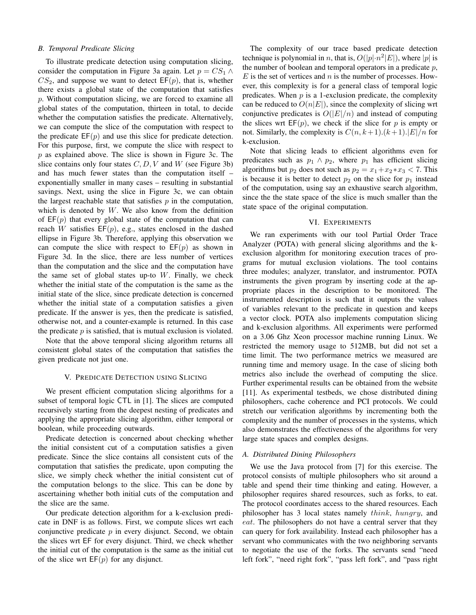#### *B. Temporal Predicate Slicing*

To illustrate predicate detection using computation slicing, consider the computation in Figure 3a again. Let  $p = CS_1 \wedge$  $CS_2$ , and suppose we want to detect  $\mathsf{EF}(p)$ , that is, whether there exists a global state of the computation that satisfies p. Without computation slicing, we are forced to examine all global states of the computation, thirteen in total, to decide whether the computation satisfies the predicate. Alternatively, we can compute the slice of the computation with respect to the predicate  $E\mathsf{F}(p)$  and use this slice for predicate detection. For this purpose, first, we compute the slice with respect to  $p$  as explained above. The slice is shown in Figure 3c. The slice contains only four states  $C, D, V$  and  $W$  (see Figure 3b) and has much fewer states than the computation itself – exponentially smaller in many cases – resulting in substantial savings. Next, using the slice in Figure 3c, we can obtain the largest reachable state that satisfies  $p$  in the computation, which is denoted by  $W$ . We also know from the definition of  $E\mathsf{F}(p)$  that every global state of the computation that can reach W satisfies  $EF(p)$ , e.g., states enclosed in the dashed ellipse in Figure 3b. Therefore, applying this observation we can compute the slice with respect to  $\mathsf{EF}(p)$  as shown in Figure 3d. In the slice, there are less number of vertices than the computation and the slice and the computation have the same set of global states up-to  $W$ . Finally, we check whether the initial state of the computation is the same as the initial state of the slice, since predicate detection is concerned whether the initial state of a computation satisfies a given predicate. If the answer is yes, then the predicate is satisfied, otherwise not, and a counter-example is returned. In this case the predicate  $p$  is satisfied, that is mutual exclusion is violated.

Note that the above temporal slicing algorithm returns all consistent global states of the computation that satisfies the given predicate not just one.

## V. PREDICATE DETECTION USING SLICING

We present efficient computation slicing algorithms for a subset of temporal logic CTL in [1]. The slices are computed recursively starting from the deepest nesting of predicates and applying the appropriate slicing algorithm, either temporal or boolean, while proceeding outwards.

Predicate detection is concerned about checking whether the initial consistent cut of a computation satisfies a given predicate. Since the slice contains all consistent cuts of the computation that satisfies the predicate, upon computing the slice, we simply check whether the initial consistent cut of the computation belongs to the slice. This can be done by ascertaining whether both initial cuts of the computation and the slice are the same.

Our predicate detection algorithm for a k-exclusion predicate in DNF is as follows. First, we compute slices wrt each conjunctive predicate  $p$  in every disjunct. Second, we obtain the slices wrt EF for every disjunct. Third, we check whether the initial cut of the computation is the same as the initial cut of the slice wrt  $\mathsf{EF}(p)$  for any disjunct.

The complexity of our trace based predicate detection technique is polynomial in *n*, that is,  $O(|p| \cdot n^2|E|)$ , where  $|p|$  is the number of boolean and temporal operators in a predicate  $p$ ,  $E$  is the set of vertices and  $n$  is the number of processes. However, this complexity is for a general class of temporal logic predicates. When  $p$  is a 1-exclusion predicate, the complexity can be reduced to  $O(n|E|)$ , since the complexity of slicing wrt conjunctive predicates is  $O(|E|/n)$  and instead of computing the slices wrt  $E\mathsf{F}(p)$ , we check if the slice for p is empty or not. Similarly, the complexity is  $C(n, k+1)$ . $(k+1)$ . $|E|/n$  for k-exclusion.

Note that slicing leads to efficient algorithms even for predicates such as  $p_1 \wedge p_2$ , where  $p_1$  has efficient slicing algorithms but  $p_2$  does not such as  $p_2 = x_1 + x_2 \cdot x_3 < 7$ . This is because it is better to detect  $p_2$  on the slice for  $p_1$  instead of the computation, using say an exhaustive search algorithm, since the the state space of the slice is much smaller than the state space of the original computation.

## VI. EXPERIMENTS

We ran experiments with our tool Partial Order Trace Analyzer (POTA) with general slicing algorithms and the kexclusion algorithm for monitoring execution traces of programs for mutual exclusion violations. The tool contains three modules; analyzer, translator, and instrumentor. POTA instruments the given program by inserting code at the appropriate places in the description to be monitored. The instrumented description is such that it outputs the values of variables relevant to the predicate in question and keeps a vector clock. POTA also implements computation slicing and k-exclusion algorithms. All experiments were performed on a 3.06 Ghz Xeon processor machine running Linux. We restricted the memory usage to 512MB, but did not set a time limit. The two performance metrics we measured are running time and memory usage. In the case of slicing both metrics also include the overhead of computing the slice. Further experimental results can be obtained from the website [11]. As experimental testbeds, we chose distributed dining philosophers, cache coherence and PCI protocols. We could stretch our verification algorithms by incrementing both the complexity and the number of processes in the systems, which also demonstrates the effectiveness of the algorithms for very large state spaces and complex designs.

#### *A. Distributed Dining Philosophers*

We use the Java protocol from [7] for this exercise. The protocol consists of multiple philosophers who sit around a table and spend their time thinking and eating. However, a philosopher requires shared resources, such as forks, to eat. The protocol coordinates access to the shared resources. Each philosopher has 3 local states namely think, hungry, and eat. The philosophers do not have a central server that they can query for fork availability. Instead each philosopher has a servant who communicates with the two neighboring servants to negotiate the use of the forks. The servants send "need left fork", "need right fork", "pass left fork", and "pass right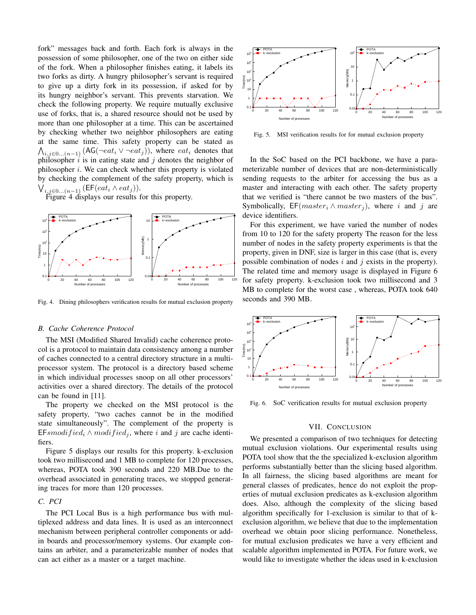fork" messages back and forth. Each fork is always in the possession of some philosopher, one of the two on either side of the fork. When a philosopher finishes eating, it labels its two forks as dirty. A hungry philosopher's servant is required to give up a dirty fork in its possession, if asked for by its hungry neighbor's servant. This prevents starvation. We check the following property. We require mutually exclusive use of forks, that is, a shared resource should not be used by more than one philosopher at a time. This can be ascertained by checking whether two neighbor philosophers are eating at the same time. This safety property can be stated as  $\bigwedge_{i,j\in 0... (n-1)} (\mathsf{AG}(\neg eat_i \vee \neg eat_j)),$  where  $eat_i$  denotes that philosopher  $i$  is in eating state and  $j$  denotes the neighbor of philosopher  $i$ . We can check whether this property is violated by checking the complement of the safety property, which is  $\bigvee_{i,j\in 0... (n-1)} (\mathsf{EF}(eat_i \wedge eat_j)).$ 

Figure 4 displays our results for this property.



Fig. 4. Dining philosophers verification results for mutual exclusion property

### *B. Cache Coherence Protocol*

The MSI (Modified Shared Invalid) cache coherence protocol is a protocol to maintain data consistency among a number of caches connected to a central directory structure in a multiprocessor system. The protocol is a directory based scheme in which individual processes snoop on all other processors' activities over a shared directory. The details of the protocol can be found in [11].

The property we checked on the MSI protocol is the safety property, "two caches cannot be in the modified state simultaneously". The complement of the property is EFsmodified<sub>i</sub>  $\wedge$  modified<sub>i</sub>, where i and j are cache identifiers.

Figure 5 displays our results for this property. k-exclusion took two millisecond and 1 MB to complete for 120 processes, whereas, POTA took 390 seconds and 220 MB.Due to the overhead associated in generating traces, we stopped generating traces for more than 120 processes.

# *C. PCI*

The PCI Local Bus is a high performance bus with multiplexed address and data lines. It is used as an interconnect mechanism between peripheral controller components or addin boards and processor/memory systems. Our example contains an arbiter, and a parameterizable number of nodes that can act either as a master or a target machine.



Fig. 5. MSI verification results for for mutual exclusion property

In the SoC based on the PCI backbone, we have a parameterizable number of devices that are non-deterministically sending requests to the arbiter for accessing the bus as a master and interacting with each other. The safety property that we verified is "there cannot be two masters of the bus". Symbolically,  $E\{master_i \wedge master_j\}$ , where i and j are device identifiers.

For this experiment, we have varied the number of nodes from 10 to 120 for the safety property The reason for the less number of nodes in the safety property experiments is that the property, given in DNF, size is larger in this case (that is, every possible combination of nodes i and j exists in the property). The related time and memory usage is displayed in Figure 6 for safety property. k-exclusion took two millisecond and 3 MB to complete for the worst case , whereas, POTA took 640 seconds and 390 MB.



Fig. 6. SoC verification results for mutual exclusion property

## VII. CONCLUSION

We presented a comparison of two techniques for detecting mutual exclusion violations. Our experimental results using POTA tool show that the the specialized k-exclusion algorithm performs substantially better than the slicing based algorithm. In all fairness, the slicing based algorithms are meant for general classes of predicates, hence do not exploit the properties of mutual exclusion predicates as k-exclusion algorithm does. Also, although the complexity of the slicing based algorithm specifically for 1-exclusion is similar to that of kexclusion algorithm, we believe that due to the implementation overhead we obtain poor slicing performance. Nonetheless, for mutual exclusion predicates we have a very efficient and scalable algorithm implemented in POTA. For future work, we would like to investigate whether the ideas used in k-exclusion